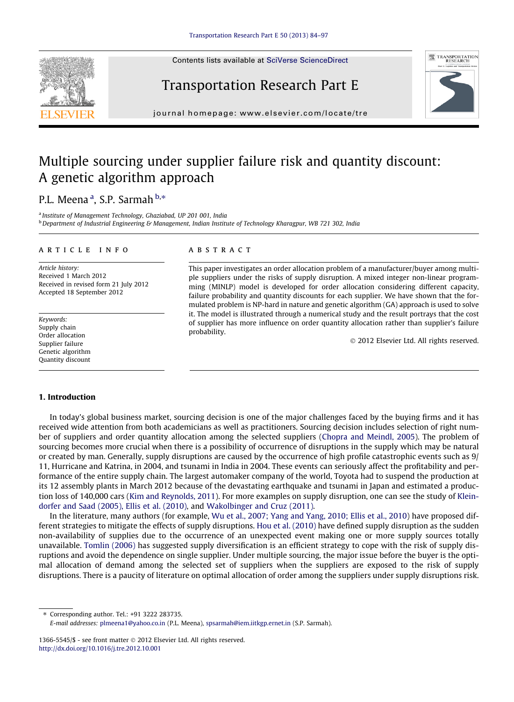Contents lists available at [SciVerse ScienceDirect](http://www.sciencedirect.com/science/journal/13665545)

# Transportation Research Part E



journal homepage: [www.elsevier.com/locate/tre](http://www.elsevier.com/locate/tre)

### Multiple sourcing under supplier failure risk and quantity discount: A genetic algorithm approach

### P.L. Meena <sup>a</sup>, S.P. Sarmah <sup>b,</sup>\*

<sup>a</sup> Institute of Management Technology, Ghaziabad, UP 201 001, India **b** Department of Industrial Engineering & Management, Indian Institute of Technology Kharagpur, WB 721 302, India

#### article info

Article history: Received 1 March 2012 Received in revised form 21 July 2012 Accepted 18 September 2012

Keywords: Supply chain Order allocation Supplier failure Genetic algorithm Quantity discount

#### **ABSTRACT**

This paper investigates an order allocation problem of a manufacturer/buyer among multiple suppliers under the risks of supply disruption. A mixed integer non-linear programming (MINLP) model is developed for order allocation considering different capacity, failure probability and quantity discounts for each supplier. We have shown that the formulated problem is NP-hard in nature and genetic algorithm (GA) approach is used to solve it. The model is illustrated through a numerical study and the result portrays that the cost of supplier has more influence on order quantity allocation rather than supplier's failure probability.

- 2012 Elsevier Ltd. All rights reserved.

#### 1. Introduction

In today's global business market, sourcing decision is one of the major challenges faced by the buying firms and it has received wide attention from both academicians as well as practitioners. Sourcing decision includes selection of right number of suppliers and order quantity allocation among the selected suppliers [\(Chopra and Meindl, 2005\)](#page--1-0). The problem of sourcing becomes more crucial when there is a possibility of occurrence of disruptions in the supply which may be natural or created by man. Generally, supply disruptions are caused by the occurrence of high profile catastrophic events such as 9/ 11, Hurricane and Katrina, in 2004, and tsunami in India in 2004. These events can seriously affect the profitability and performance of the entire supply chain. The largest automaker company of the world, Toyota had to suspend the production at its 12 assembly plants in March 2012 because of the devastating earthquake and tsunami in Japan and estimated a production loss of 140,000 cars [\(Kim and Reynolds, 2011](#page--1-0)). For more examples on supply disruption, one can see the study of [Klein](#page--1-0)[dorfer and Saad \(2005\), Ellis et al. \(2010\),](#page--1-0) and [Wakolbinger and Cruz \(2011\).](#page--1-0)

In the literature, many authors (for example, [Wu et al., 2007; Yang and Yang, 2010; Ellis et al., 2010](#page--1-0)) have proposed different strategies to mitigate the effects of supply disruptions. [Hou et al. \(2010\)](#page--1-0) have defined supply disruption as the sudden non-availability of supplies due to the occurrence of an unexpected event making one or more supply sources totally unavailable. [Tomlin \(2006\)](#page--1-0) has suggested supply diversification is an efficient strategy to cope with the risk of supply disruptions and avoid the dependence on single supplier. Under multiple sourcing, the major issue before the buyer is the optimal allocation of demand among the selected set of suppliers when the suppliers are exposed to the risk of supply disruptions. There is a paucity of literature on optimal allocation of order among the suppliers under supply disruptions risk.

⇑ Corresponding author. Tel.: +91 3222 283735.

1366-5545/\$ - see front matter  $\odot$  2012 Elsevier Ltd. All rights reserved. <http://dx.doi.org/10.1016/j.tre.2012.10.001>

E-mail addresses: [plmeena1@yahoo.co.in](mailto:plmeena1@yahoo.co.in) (P.L. Meena), [spsarmah@iem.iitkgp.ernet.in](mailto:spsarmah@iem.iitkgp.ernet.in) (S.P. Sarmah).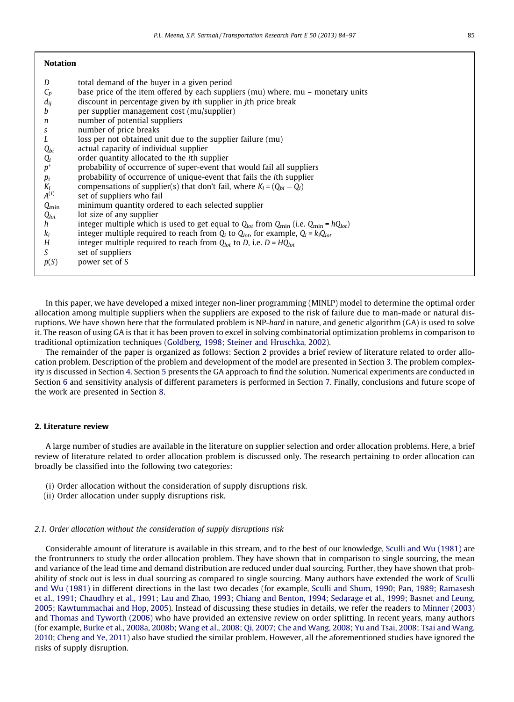In this paper, we have developed a mixed integer non-liner programming (MINLP) model to determine the optimal order allocation among multiple suppliers when the suppliers are exposed to the risk of failure due to man-made or natural disruptions. We have shown here that the formulated problem is NP-hard in nature, and genetic algorithm (GA) is used to solve it. The reason of using GA is that it has been proven to excel in solving combinatorial optimization problems in comparison to traditional optimization techniques [\(Goldberg, 1998; Steiner and Hruschka, 2002\)](#page--1-0).

The remainder of the paper is organized as follows: Section 2 provides a brief review of literature related to order allocation problem. Description of the problem and development of the model are presented in Section 3. The problem complexity is discussed in Section 4. Section 5 presents the GA approach to find the solution. Numerical experiments are conducted in Section 6 and sensitivity analysis of different parameters is performed in Section 7. Finally, conclusions and future scope of the work are presented in Section 8.

#### 2. Literature review

A large number of studies are available in the literature on supplier selection and order allocation problems. Here, a brief review of literature related to order allocation problem is discussed only. The research pertaining to order allocation can broadly be classified into the following two categories:

- (i) Order allocation without the consideration of supply disruptions risk.
- (ii) Order allocation under supply disruptions risk.

#### 2.1. Order allocation without the consideration of supply disruptions risk

Considerable amount of literature is available in this stream, and to the best of our knowledge, [Sculli and Wu \(1981\)](#page--1-0) are the frontrunners to study the order allocation problem. They have shown that in comparison to single sourcing, the mean and variance of the lead time and demand distribution are reduced under dual sourcing. Further, they have shown that probability of stock out is less in dual sourcing as compared to single sourcing. Many authors have extended the work of [Sculli](#page--1-0) [and Wu \(1981\)](#page--1-0) in different directions in the last two decades (for example, [Sculli and Shum, 1990; Pan, 1989; Ramasesh](#page--1-0) [et al., 1991; Chaudhry et al., 1991; Lau and Zhao, 1993; Chiang and Benton, 1994; Sedarage et al., 1999; Basnet and Leung,](#page--1-0) [2005; Kawtummachai and Hop, 2005](#page--1-0)). Instead of discussing these studies in details, we refer the readers to [Minner \(2003\)](#page--1-0) and [Thomas and Tyworth \(2006\)](#page--1-0) who have provided an extensive review on order splitting. In recent years, many authors (for example, [Burke et al., 2008a, 2008b; Wang et al., 2008; Qi, 2007; Che and Wang, 2008; Yu and Tsai, 2008; Tsai and Wang,](#page--1-0) [2010; Cheng and Ye, 2011\)](#page--1-0) also have studied the similar problem. However, all the aforementioned studies have ignored the risks of supply disruption.